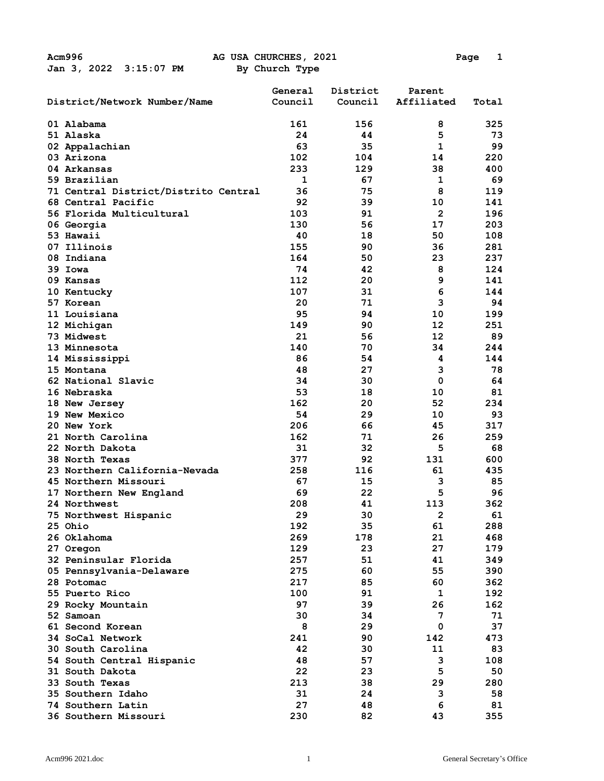|                                      | General | District | Parent                  |       |
|--------------------------------------|---------|----------|-------------------------|-------|
| District/Network Number/Name         | Council | Council  | Affiliated              | Total |
| 01 Alabama                           | 161     | 156      | 8                       | 325   |
| 51 Alaska                            | 24      | 44       | 5                       | 73    |
| 02 Appalachian                       | 63      | 35       | 1                       | 99    |
| 03 Arizona                           | 102     | 104      | 14                      | 220   |
| 04 Arkansas                          | 233     | 129      | 38                      | 400   |
| 59 Brazilian                         | 1       | 67       | 1                       | 69    |
| 71 Central District/Distrito Central | 36      | 75       | 8                       | 119   |
| 68 Central Pacific                   | 92      | 39       | 10                      | 141   |
| 56 Florida Multicultural             | 103     | 91       | $\overline{2}$          | 196   |
| 06 Georgia                           | 130     | 56       | 17                      | 203   |
| 53 Hawaii                            | 40      | 18       | 50                      | 108   |
| 07 Illinois                          | 155     | 90       | 36                      | 281   |
| 08 Indiana                           | 164     | 50       | 23                      | 237   |
| 39 Iowa                              | 74      | 42       | 8                       | 124   |
| 09 Kansas                            | 112     | 20       | 9                       | 141   |
| 10 Kentucky                          | 107     | 31       | 6                       | 144   |
| 57 Korean                            | 20      | 71       | 3                       | 94    |
| 11 Louisiana                         | 95      | 94       | 10                      | 199   |
| 12 Michigan                          | 149     | 90       | 12                      | 251   |
| 73 Midwest                           | 21      | 56       | 12                      | 89    |
| 13 Minnesota                         | 140     | 70       | 34                      | 244   |
| 14 Mississippi                       | 86      | 54       | 4                       | 144   |
| 15 Montana                           | 48      | 27       | 3                       | 78    |
| 62 National Slavic                   | 34      | 30       | $\mathbf 0$             | 64    |
| 16 Nebraska                          | 53      | 18       | 10                      | 81    |
| 18 New Jersey                        | 162     | 20       | 52                      | 234   |
| 19 New Mexico                        | 54      | 29       | 10                      | 93    |
| 20 New York                          | 206     | 66       | 45                      | 317   |
| 21 North Carolina                    | 162     | 71       | 26                      | 259   |
| 22 North Dakota                      | 31      | 32       | 5                       | 68    |
| <b>38 North Texas</b>                | 377     | 92       | 131                     | 600   |
| 23 Northern California-Nevada        | 258     | 116      | 61                      | 435   |
| 45 Northern Missouri                 | 67      | 15       | 3                       | 85    |
| 17 Northern New England              | 69      | 22       | 5                       | 96    |
| 24 Northwest                         | 208     | 41       | 113                     | 362.  |
| 75 Northwest Hispanic                | 29      | 30       | $\overline{\mathbf{c}}$ | 61    |
| 25 Ohio                              | 192     | 35       | 61                      | 288   |
| 26 Oklahoma                          | 269     | 178      | 21                      | 468   |
| 27 Oregon                            | 129     | 23       | 27                      | 179   |
| 32 Peninsular Florida                | 257     | 51       | 41                      | 349   |
| 05 Pennsylvania-Delaware             | 275     | 60       | 55                      | 390   |
| 28 Potomac                           | 217     | 85       | 60                      | 362   |
| 55 Puerto Rico                       | 100     | 91       | 1                       | 192   |
| 29 Rocky Mountain                    | 97      | 39       | 26                      | 162   |
| 52 Samoan                            | 30      | 34       | 7                       | 71    |
| 61 Second Korean                     | 8       | 29       | $\mathbf 0$             | 37    |
| 34 SoCal Network                     | 241     | 90       | 142                     | 473   |
| 30 South Carolina                    | 42      | 30       | 11                      | 83    |
| 54 South Central Hispanic            | 48      | 57       | 3                       | 108   |
| 31 South Dakota                      | 22      | 23       | 5                       | 50    |
| 33 South Texas                       | 213     | 38       | 29                      | 280   |
| 35 Southern Idaho                    | 31      | 24       | 3                       | 58    |
| 74 Southern Latin                    | 27      | 48       | 6                       | 81    |
| 36 Southern Missouri                 | 230     | 82       | 43                      | 355   |
|                                      |         |          |                         |       |